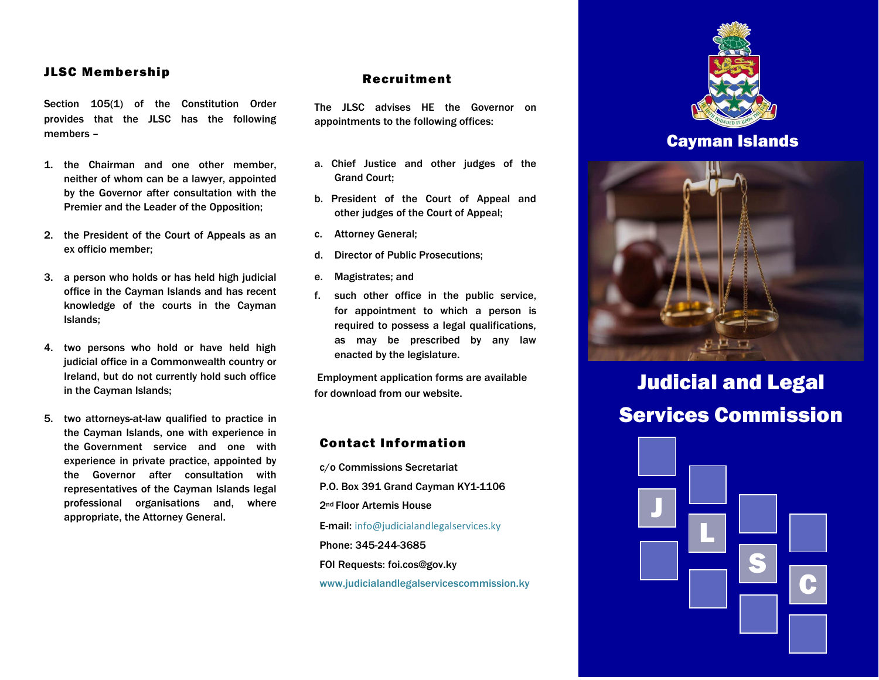### JLSC Membership

Section 105(1) of the Constitution Order provides that the JLSC has the following members –

- 1. the Chairman and one other member, neither of whom can be a lawyer, appointed by the Governor after consultation with the Premier and the Leader of the Opposition;
- 2. the President of the Court of Appeals as an ex officio member;
- 3. a person who holds or has held high judicial office in the Cayman Islands and has recent knowledge of the courts in the Cayman Islands;
- 4. two persons who hold or have held high judicial office in a Commonwealth country or Ireland, but do not currently hold such office in the Cayman Islands;
- 5. two attorneys-at-law qualified to practice in the Cayman Islands, one with experience in the Government service and one with experience in private practice, appointed by the Governor after consultation with representatives of the Cayman Islands legal professional organisations and, where appropriate, the Attorney General.

### Recruitment

The JLSC advises HE the Governor on appointments to the following offices:

- a. Chief Justice and other judges of the Grand Court;
- b. President of the Court of Appeal and other judges of the Court of Appeal;
- c. Attorney General;
- d. Director of Public Prosecutions;
- e. Magistrates; and
- f. such other office in the public service, for appointment to which a person is required to possess a legal qualifications, as may be prescribed by any law enacted by the legislature.

Employment application forms are available for download from our website.

## Contact Information

c/o Commissions Secretariat P.O. Box 391 Grand Cayman KY1-1106 2nd Floor Artemis House E-mail: [info@judicialandlegalservices.ky](mailto:info@judicialandlegalservices.ky) Phone: 345-244-3685 FOI Requests[: foi.cos@gov.ky](mailto:foi.cos@gov.ky) www.judicialandlegalservicescommission.ky



## Cayman Islands



# Judicial and Legal Services Commission

L

S

C

J